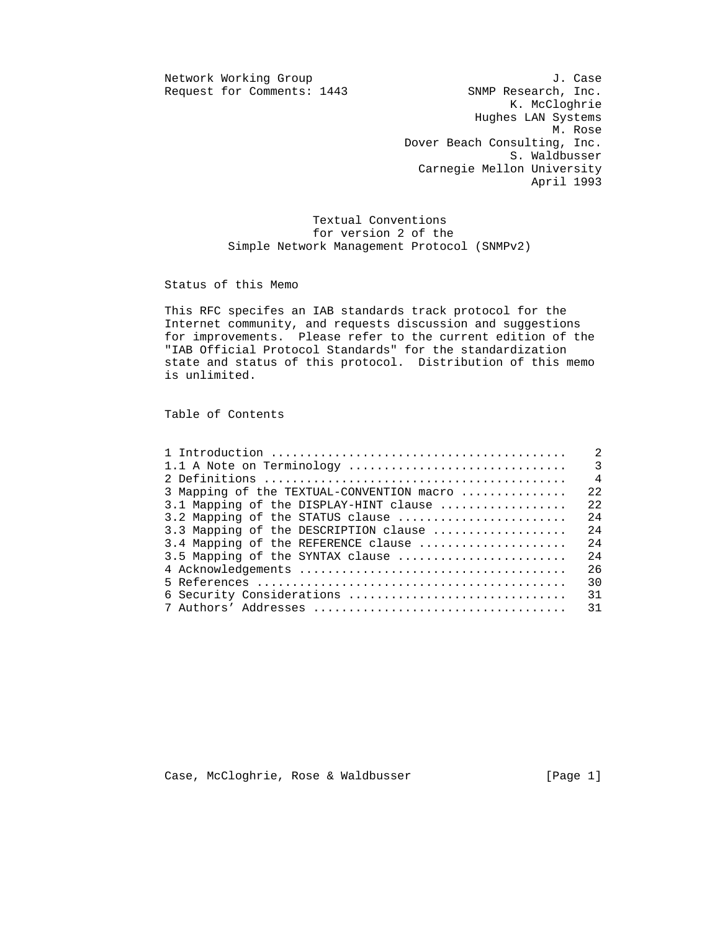$Request for Comments: 1443$ 

Network Working Group J. Case<br>Request for Comments: 1443 SNMP Research, Inc. K. McCloghrie Hughes LAN Systems M. Rose Dover Beach Consulting, Inc. S. Waldbusser Carnegie Mellon University April 1993

> Textual Conventions for version 2 of the Simple Network Management Protocol (SNMPv2)

Status of this Memo

 This RFC specifes an IAB standards track protocol for the Internet community, and requests discussion and suggestions for improvements. Please refer to the current edition of the "IAB Official Protocol Standards" for the standardization state and status of this protocol. Distribution of this memo is unlimited.

Table of Contents

|                                                 | 2              |
|-------------------------------------------------|----------------|
|                                                 |                |
|                                                 | $\overline{4}$ |
| 22<br>3 Mapping of the TEXTUAL-CONVENTION macro |                |
| 2.2<br>3.1 Mapping of the DISPLAY-HINT clause   |                |
| 24<br>3.2 Mapping of the STATUS clause          |                |
| 24<br>3.3 Mapping of the DESCRIPTION clause     |                |
| 24<br>3.4 Mapping of the REFERENCE clause       |                |
| 24<br>3.5 Mapping of the SYNTAX clause          |                |
| 26                                              |                |
| 30                                              |                |
| 31<br>6 Security Considerations                 |                |
| 31                                              |                |

Case, McCloghrie, Rose & Waldbusser [Page 1]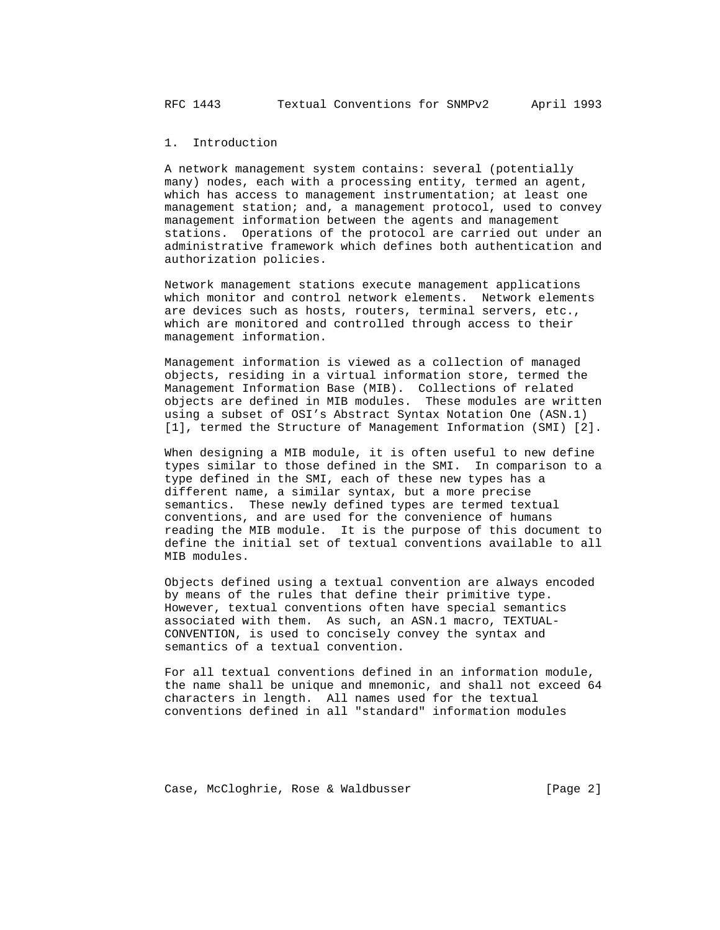RFC 1443 Textual Conventions for SNMPv2 April 1993

1. Introduction

 A network management system contains: several (potentially many) nodes, each with a processing entity, termed an agent, which has access to management instrumentation; at least one management station; and, a management protocol, used to convey management information between the agents and management stations. Operations of the protocol are carried out under an administrative framework which defines both authentication and authorization policies.

 Network management stations execute management applications which monitor and control network elements. Network elements are devices such as hosts, routers, terminal servers, etc., which are monitored and controlled through access to their management information.

 Management information is viewed as a collection of managed objects, residing in a virtual information store, termed the Management Information Base (MIB). Collections of related objects are defined in MIB modules. These modules are written using a subset of OSI's Abstract Syntax Notation One (ASN.1) [1], termed the Structure of Management Information (SMI) [2].

 When designing a MIB module, it is often useful to new define types similar to those defined in the SMI. In comparison to a type defined in the SMI, each of these new types has a different name, a similar syntax, but a more precise semantics. These newly defined types are termed textual conventions, and are used for the convenience of humans reading the MIB module. It is the purpose of this document to define the initial set of textual conventions available to all MIB modules.

 Objects defined using a textual convention are always encoded by means of the rules that define their primitive type. However, textual conventions often have special semantics associated with them. As such, an ASN.1 macro, TEXTUAL- CONVENTION, is used to concisely convey the syntax and semantics of a textual convention.

 For all textual conventions defined in an information module, the name shall be unique and mnemonic, and shall not exceed 64 characters in length. All names used for the textual conventions defined in all "standard" information modules

Case, McCloghrie, Rose & Waldbusser (Page 2)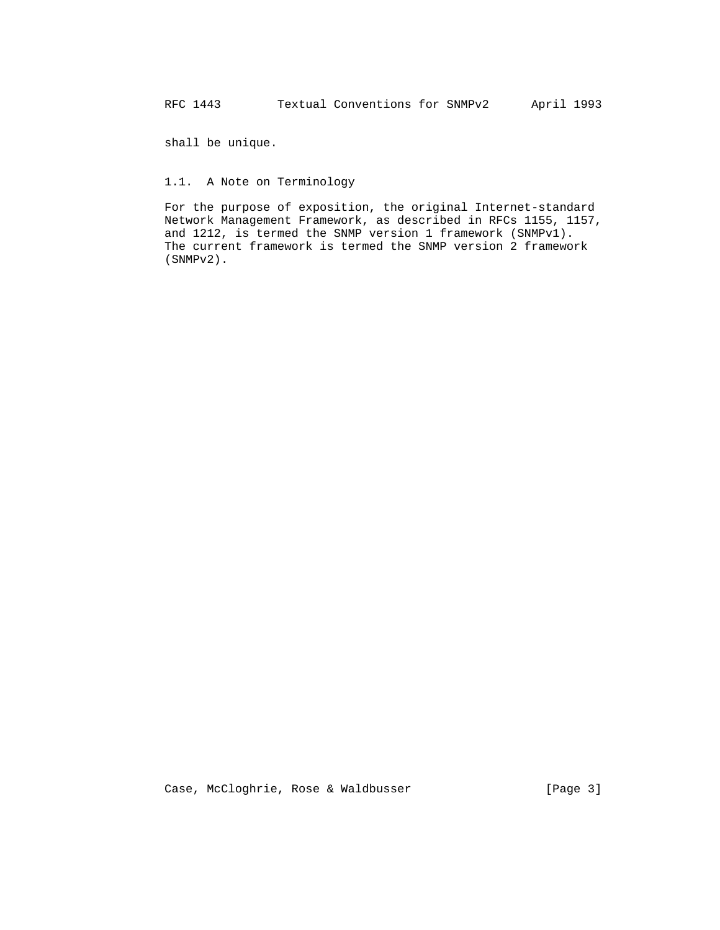shall be unique.

1.1. A Note on Terminology

 For the purpose of exposition, the original Internet-standard Network Management Framework, as described in RFCs 1155, 1157, and 1212, is termed the SNMP version 1 framework (SNMPv1). The current framework is termed the SNMP version 2 framework (SNMPv2).

Case, McCloghrie, Rose & Waldbusser [Page 3]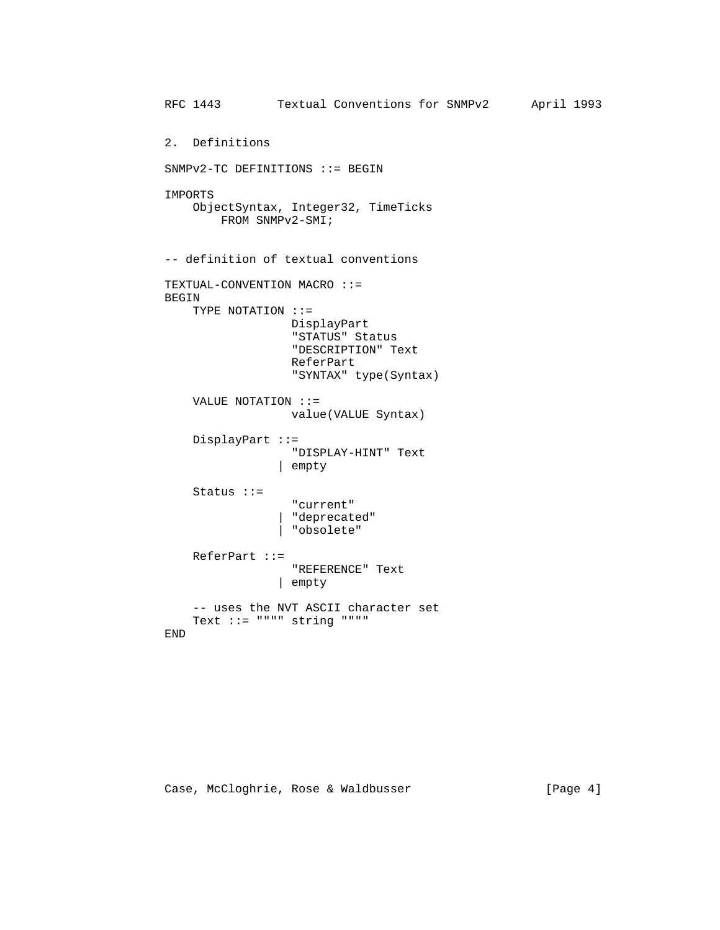```
 RFC 1443 Textual Conventions for SNMPv2 April 1993
2. Definitions
SNMPv2-TC DEFINITIONS ::= BEGIN
IMPORTS
   ObjectSyntax, Integer32, TimeTicks
        FROM SNMPv2-SMI;
-- definition of textual conventions
TEXTUAL-CONVENTION MACRO ::=
BEGIN
    TYPE NOTATION ::=
                  DisplayPart
                  "STATUS" Status
                  "DESCRIPTION" Text
                  ReferPart
                  "SYNTAX" type(Syntax)
    VALUE NOTATION ::=
                  value(VALUE Syntax)
    DisplayPart ::=
                  "DISPLAY-HINT" Text
                | empty
    Status ::=
                  "current"
                 | "deprecated"
                 | "obsolete"
    ReferPart ::=
                  "REFERENCE" Text
                | empty
    -- uses the NVT ASCII character set
    Text ::= """" string """"
END
```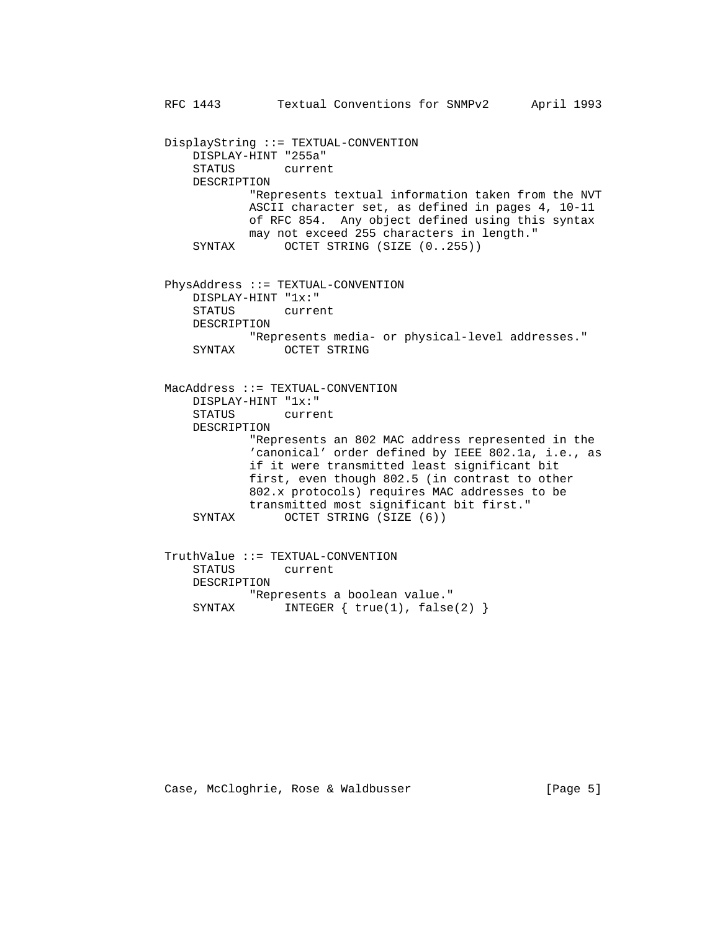RFC 1443 Textual Conventions for SNMPv2 April 1993 DisplayString ::= TEXTUAL-CONVENTION DISPLAY-HINT "255a" STATUS current DESCRIPTION "Represents textual information taken from the NVT ASCII character set, as defined in pages 4, 10-11 of RFC 854. Any object defined using this syntax may not exceed 255 characters in length." SYNTAX OCTET STRING (SIZE (0..255)) PhysAddress ::= TEXTUAL-CONVENTION DISPLAY-HINT "1x:" STATUS current DESCRIPTION "Represents media- or physical-level addresses." SYNTAX OCTET STRING MacAddress ::= TEXTUAL-CONVENTION

 DISPLAY-HINT "1x:" STATUS current DESCRIPTION "Represents an 802 MAC address represented in the 'canonical' order defined by IEEE 802.1a, i.e., as if it were transmitted least significant bit first, even though 802.5 (in contrast to other 802.x protocols) requires MAC addresses to be transmitted most significant bit first." SYNTAX OCTET STRING (SIZE (6))

 TruthValue ::= TEXTUAL-CONVENTION STATUS current DESCRIPTION "Represents a boolean value." SYNTAX INTEGER  $\{ true(1), false(2) \}$ 

Case, McCloghrie, Rose & Waldbusser (Page 5)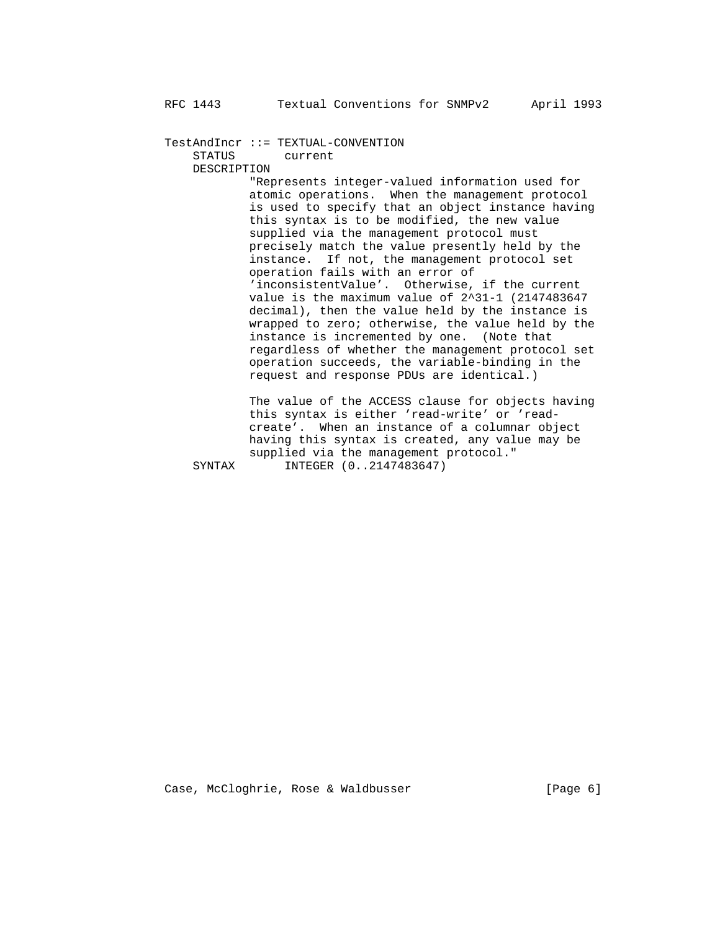TestAndIncr ::= TEXTUAL-CONVENTION STATUS current DESCRIPTION

> "Represents integer-valued information used for atomic operations. When the management protocol is used to specify that an object instance having this syntax is to be modified, the new value supplied via the management protocol must precisely match the value presently held by the instance. If not, the management protocol set operation fails with an error of 'inconsistentValue'. Otherwise, if the current value is the maximum value of 2^31-1 (2147483647 decimal), then the value held by the instance is wrapped to zero; otherwise, the value held by the instance is incremented by one. (Note that regardless of whether the management protocol set operation succeeds, the variable-binding in the request and response PDUs are identical.)

 The value of the ACCESS clause for objects having this syntax is either 'read-write' or 'read create'. When an instance of a columnar object having this syntax is created, any value may be supplied via the management protocol."<br>SYNTAX INTEGER (0..2147483647) INTEGER (0..2147483647)

Case, McCloghrie, Rose & Waldbusser (Page 6)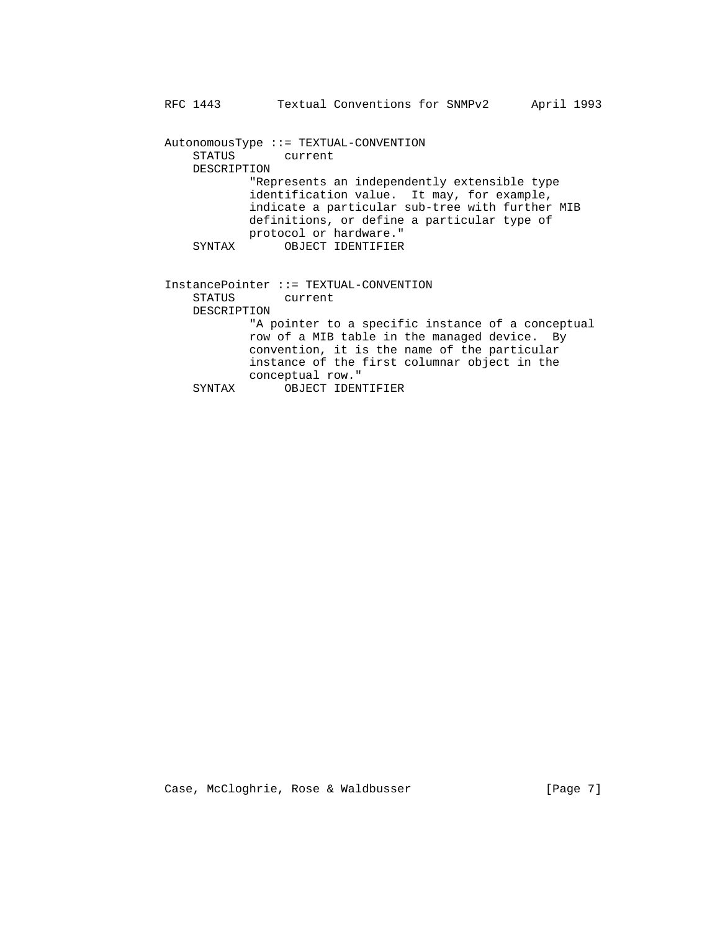RFC 1443 Textual Conventions for SNMPv2 April 1993 AutonomousType ::= TEXTUAL-CONVENTION STATUS current DESCRIPTION "Represents an independently extensible type identification value. It may, for example, indicate a particular sub-tree with further MIB definitions, or define a particular type of protocol or hardware."<br>SYNTAX OBJECT IDENTIFIER OBJECT IDENTIFIER InstancePointer ::= TEXTUAL-CONVENTION STATUS current DESCRIPTION "A pointer to a specific instance of a conceptual row of a MIB table in the managed device. By convention, it is the name of the particular

instance of the first columnar object in the

Case, McCloghrie, Rose & Waldbusser [Page 7]

conceptual row."<br>SYNTAX OBJECT IDEN

OBJECT IDENTIFIER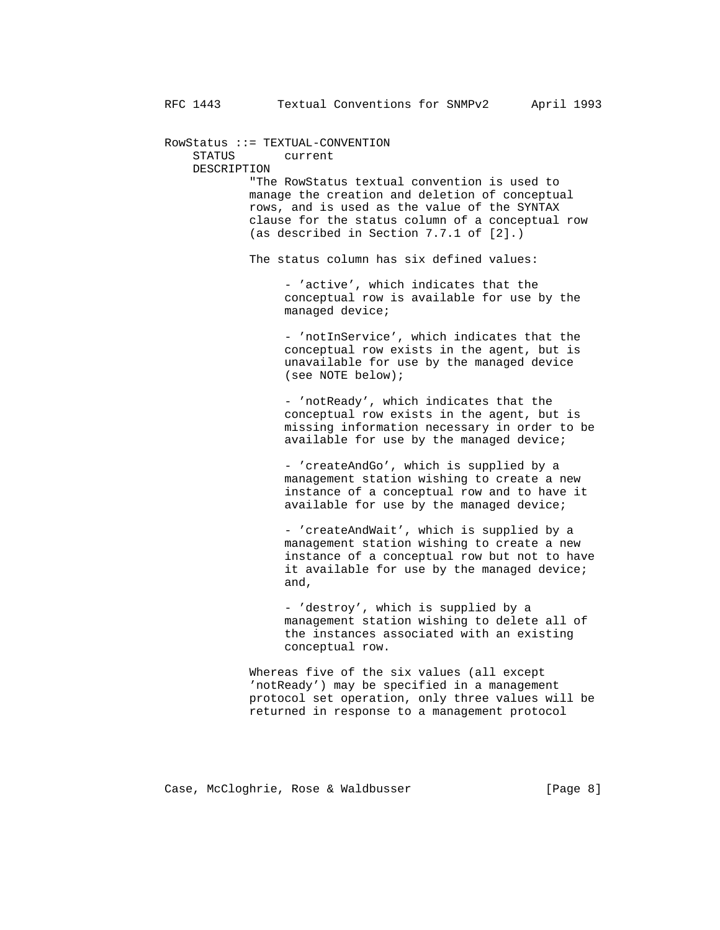RowStatus ::= TEXTUAL-CONVENTION STATUS current DESCRIPTION "The RowStatus textual convention is used to manage the creation and deletion of conceptual rows, and is used as the value of the SYNTAX clause for the status column of a conceptual row (as described in Section 7.7.1 of [2].) The status column has six defined values: - 'active', which indicates that the conceptual row is available for use by the managed device; - 'notInService', which indicates that the conceptual row exists in the agent, but is unavailable for use by the managed device (see NOTE below); - 'notReady', which indicates that the conceptual row exists in the agent, but is missing information necessary in order to be available for use by the managed device; - 'createAndGo', which is supplied by a management station wishing to create a new instance of a conceptual row and to have it available for use by the managed device; - 'createAndWait', which is supplied by a management station wishing to create a new instance of a conceptual row but not to have it available for use by the managed device; and, - 'destroy', which is supplied by a management station wishing to delete all of the instances associated with an existing conceptual row.

> Whereas five of the six values (all except 'notReady') may be specified in a management protocol set operation, only three values will be returned in response to a management protocol

Case, McCloghrie, Rose & Waldbusser (Page 8)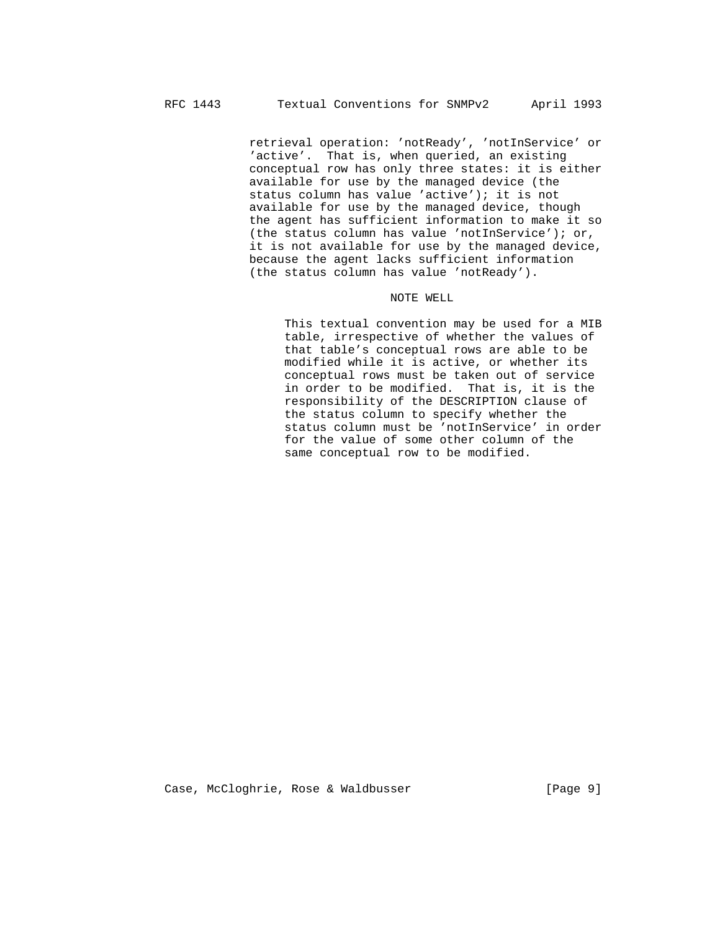retrieval operation: 'notReady', 'notInService' or 'active'. That is, when queried, an existing conceptual row has only three states: it is either available for use by the managed device (the status column has value 'active'); it is not available for use by the managed device, though the agent has sufficient information to make it so (the status column has value 'notInService'); or, it is not available for use by the managed device, because the agent lacks sufficient information (the status column has value 'notReady').

#### NOTE WELL

 This textual convention may be used for a MIB table, irrespective of whether the values of that table's conceptual rows are able to be modified while it is active, or whether its conceptual rows must be taken out of service in order to be modified. That is, it is the responsibility of the DESCRIPTION clause of the status column to specify whether the status column must be 'notInService' in order for the value of some other column of the same conceptual row to be modified.

Case, McCloghrie, Rose & Waldbusser (Page 9]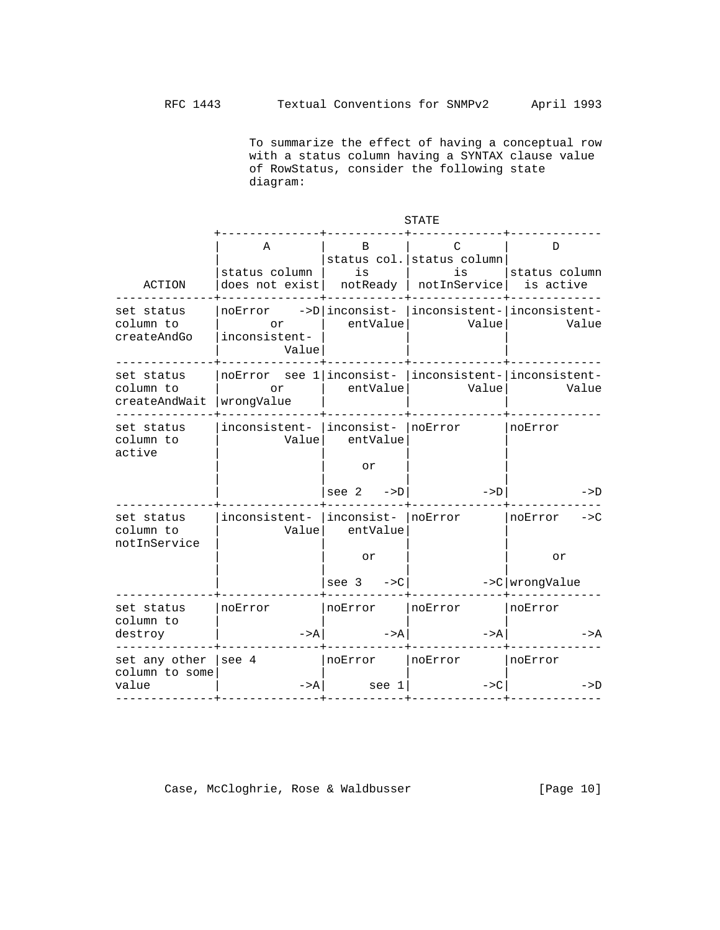To summarize the effect of having a conceptual row with a status column having a SYNTAX clause value of RowStatus, consider the following state diagram:

|                                          | STATE                                                                                  |                                         |                                                                                         |                                          |  |  |  |
|------------------------------------------|----------------------------------------------------------------------------------------|-----------------------------------------|-----------------------------------------------------------------------------------------|------------------------------------------|--|--|--|
| <b>ACTION</b>                            | $\mathbb A$<br>status column<br>does not exist                                         | $\mathbf{B}$<br>is                      | $\mathcal{C}$<br>status col. status column<br>is<br>notReady   notInService   is active | $\mathbf D$<br>status column             |  |  |  |
| set status<br>column to<br>createAndGo   | $noError$ ->D inconsist-  inconsistent- inconsistent-<br>or.<br>inconsistent-<br>Value | entValue                                | Value                                                                                   | Value                                    |  |  |  |
| set status<br>column to<br>createAndWait | noError see 1 inconsist- inconsistent- inconsistent-<br>or.<br>wrongValue              | entValue                                | Value                                                                                   | Value                                    |  |  |  |
| set status<br>column to<br>active        | inconsistent-  inconsist-  noError<br>Valuel                                           | entValue<br>or<br>see $2 \rightarrow D$ | $->D$                                                                                   | InoError<br>$->D$                        |  |  |  |
| set status<br>column to<br>notInService  | inconsistent-  inconsist-  noError<br>Valuel                                           | entValue<br>0r<br>see $3 \rightarrow C$ |                                                                                         | noError<br>$->C$<br>or<br>->C wrongValue |  |  |  |
| set status<br>column to<br>destroy       | noError<br>$->A$                                                                       | noError<br>–>A∣                         | noError<br>$->A$                                                                        | noError<br>$->A$                         |  |  |  |
| set any other<br>column to some<br>value | see 4<br>$->A$                                                                         | noError<br>see 1                        | InoError<br>$->C$                                                                       | noError<br>$->D$                         |  |  |  |
|                                          |                                                                                        |                                         |                                                                                         |                                          |  |  |  |

Case, McCloghrie, Rose & Waldbusser [Page 10]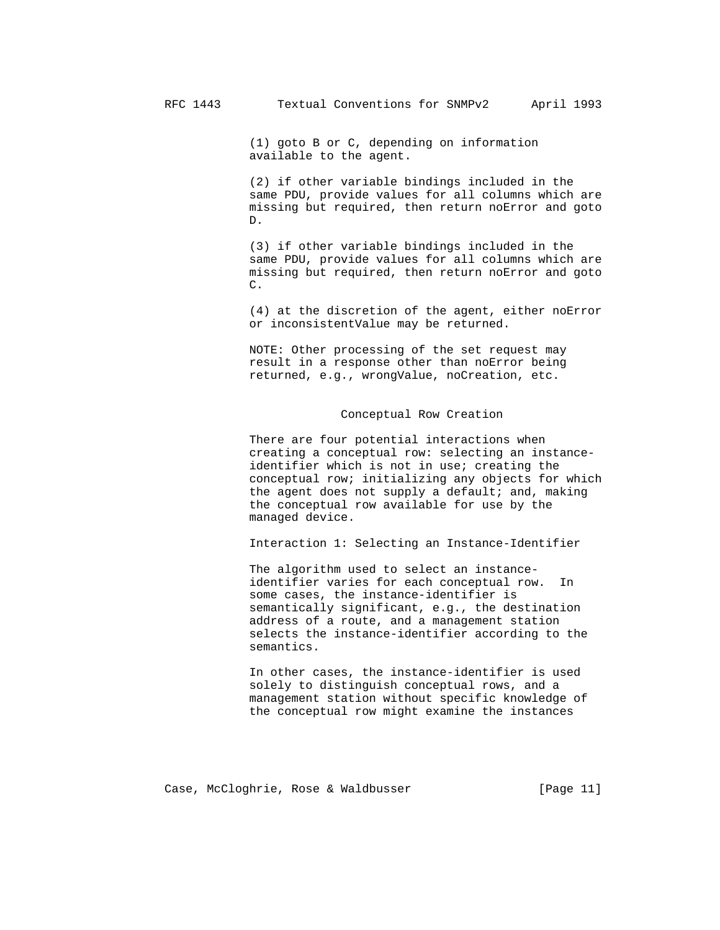(1) goto B or C, depending on information available to the agent.

 (2) if other variable bindings included in the same PDU, provide values for all columns which are missing but required, then return noError and goto D.

 (3) if other variable bindings included in the same PDU, provide values for all columns which are missing but required, then return noError and goto C.

> (4) at the discretion of the agent, either noError or inconsistentValue may be returned.

 NOTE: Other processing of the set request may result in a response other than noError being returned, e.g., wrongValue, noCreation, etc.

#### Conceptual Row Creation

 There are four potential interactions when creating a conceptual row: selecting an instance identifier which is not in use; creating the conceptual row; initializing any objects for which the agent does not supply a default; and, making the conceptual row available for use by the managed device.

Interaction 1: Selecting an Instance-Identifier

 The algorithm used to select an instance identifier varies for each conceptual row. In some cases, the instance-identifier is semantically significant, e.g., the destination address of a route, and a management station selects the instance-identifier according to the semantics.

 In other cases, the instance-identifier is used solely to distinguish conceptual rows, and a management station without specific knowledge of the conceptual row might examine the instances

Case, McCloghrie, Rose & Waldbusser [Page 11]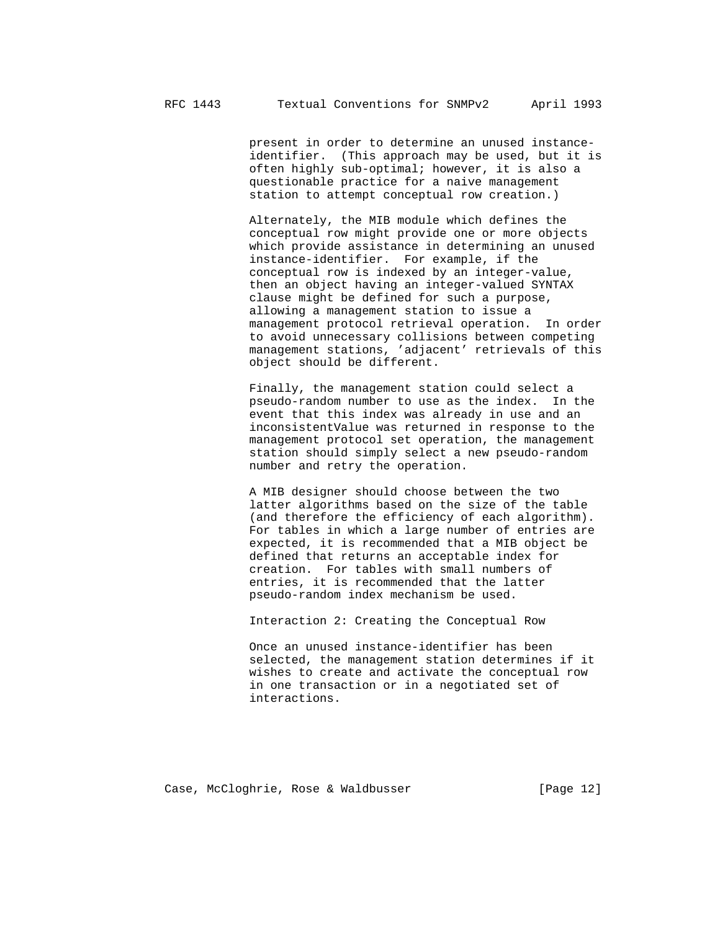present in order to determine an unused instance identifier. (This approach may be used, but it is often highly sub-optimal; however, it is also a questionable practice for a naive management station to attempt conceptual row creation.)

 Alternately, the MIB module which defines the conceptual row might provide one or more objects which provide assistance in determining an unused instance-identifier. For example, if the conceptual row is indexed by an integer-value, then an object having an integer-valued SYNTAX clause might be defined for such a purpose, allowing a management station to issue a management protocol retrieval operation. In order to avoid unnecessary collisions between competing management stations, 'adjacent' retrievals of this object should be different.

 Finally, the management station could select a pseudo-random number to use as the index. In the event that this index was already in use and an inconsistentValue was returned in response to the management protocol set operation, the management station should simply select a new pseudo-random number and retry the operation.

 A MIB designer should choose between the two latter algorithms based on the size of the table (and therefore the efficiency of each algorithm). For tables in which a large number of entries are expected, it is recommended that a MIB object be defined that returns an acceptable index for creation. For tables with small numbers of entries, it is recommended that the latter pseudo-random index mechanism be used.

Interaction 2: Creating the Conceptual Row

 Once an unused instance-identifier has been selected, the management station determines if it wishes to create and activate the conceptual row in one transaction or in a negotiated set of interactions.

Case, McCloghrie, Rose & Waldbusser (Page 12)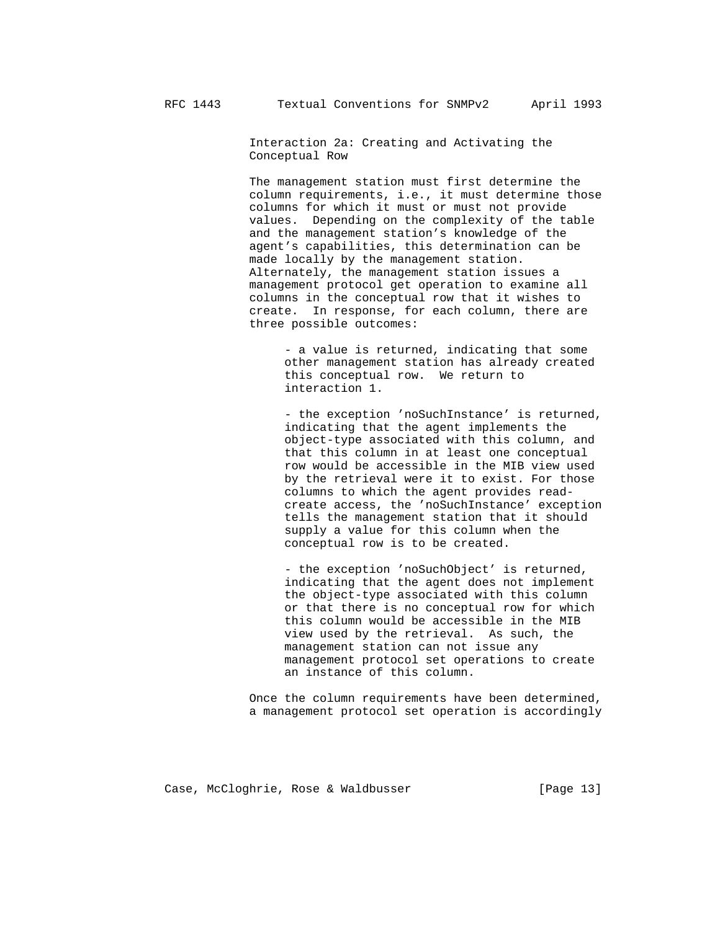Interaction 2a: Creating and Activating the Conceptual Row

 The management station must first determine the column requirements, i.e., it must determine those columns for which it must or must not provide values. Depending on the complexity of the table and the management station's knowledge of the agent's capabilities, this determination can be made locally by the management station. Alternately, the management station issues a management protocol get operation to examine all columns in the conceptual row that it wishes to create. In response, for each column, there are three possible outcomes:

 - a value is returned, indicating that some other management station has already created this conceptual row. We return to interaction 1.

 - the exception 'noSuchInstance' is returned, indicating that the agent implements the object-type associated with this column, and that this column in at least one conceptual row would be accessible in the MIB view used by the retrieval were it to exist. For those columns to which the agent provides read create access, the 'noSuchInstance' exception tells the management station that it should supply a value for this column when the conceptual row is to be created.

 - the exception 'noSuchObject' is returned, indicating that the agent does not implement the object-type associated with this column or that there is no conceptual row for which this column would be accessible in the MIB view used by the retrieval. As such, the management station can not issue any management protocol set operations to create an instance of this column.

 Once the column requirements have been determined, a management protocol set operation is accordingly

Case, McCloghrie, Rose & Waldbusser (Page 13)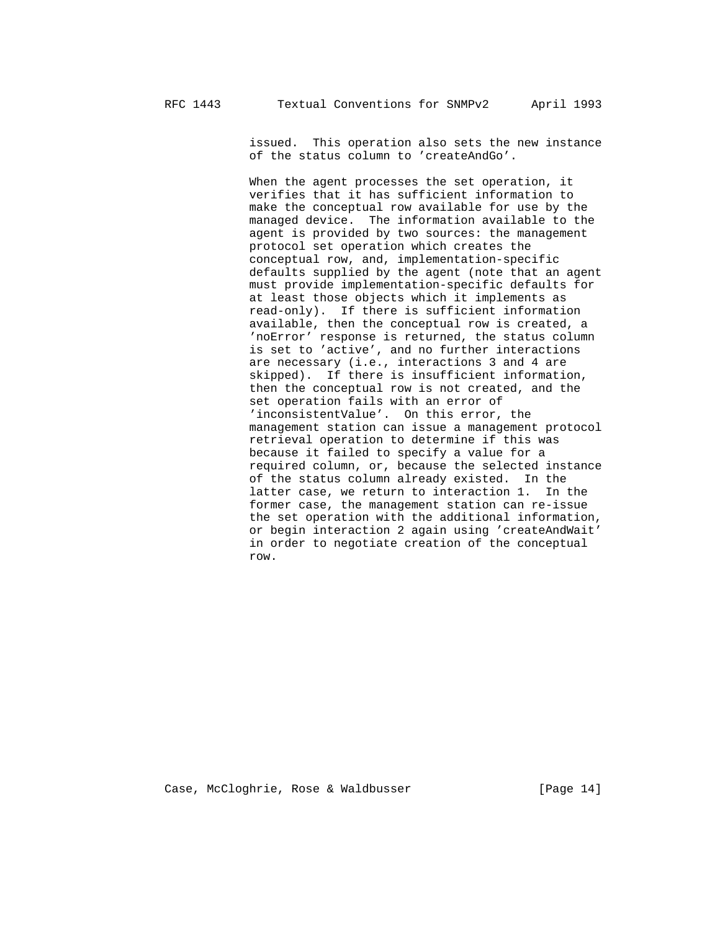issued. This operation also sets the new instance of the status column to 'createAndGo'.

 When the agent processes the set operation, it verifies that it has sufficient information to make the conceptual row available for use by the managed device. The information available to the agent is provided by two sources: the management protocol set operation which creates the conceptual row, and, implementation-specific defaults supplied by the agent (note that an agent must provide implementation-specific defaults for at least those objects which it implements as read-only). If there is sufficient information available, then the conceptual row is created, a 'noError' response is returned, the status column is set to 'active', and no further interactions are necessary (i.e., interactions 3 and 4 are skipped). If there is insufficient information, then the conceptual row is not created, and the set operation fails with an error of 'inconsistentValue'. On this error, the management station can issue a management protocol retrieval operation to determine if this was because it failed to specify a value for a required column, or, because the selected instance of the status column already existed. In the latter case, we return to interaction 1. In the former case, the management station can re-issue the set operation with the additional information, or begin interaction 2 again using 'createAndWait' in order to negotiate creation of the conceptual row.

Case, McCloghrie, Rose & Waldbusser (Page 14)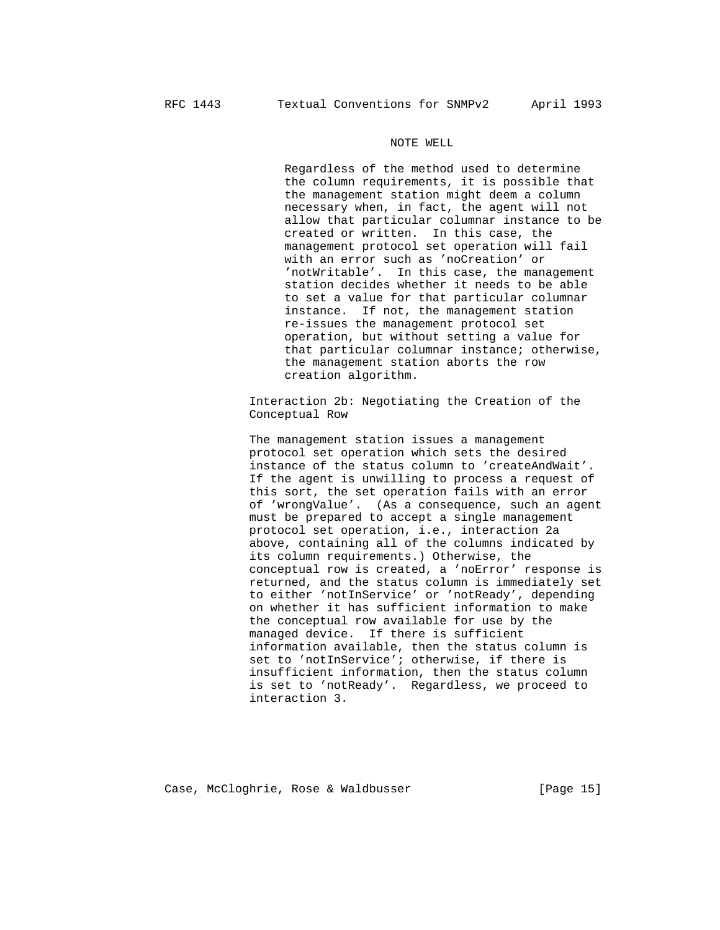## NOTE WELL

 Regardless of the method used to determine the column requirements, it is possible that the management station might deem a column necessary when, in fact, the agent will not allow that particular columnar instance to be created or written. In this case, the management protocol set operation will fail with an error such as 'noCreation' or 'notWritable'. In this case, the management station decides whether it needs to be able to set a value for that particular columnar instance. If not, the management station re-issues the management protocol set operation, but without setting a value for that particular columnar instance; otherwise, the management station aborts the row creation algorithm.

 Interaction 2b: Negotiating the Creation of the Conceptual Row

 The management station issues a management protocol set operation which sets the desired instance of the status column to 'createAndWait'. If the agent is unwilling to process a request of this sort, the set operation fails with an error of 'wrongValue'. (As a consequence, such an agent must be prepared to accept a single management protocol set operation, i.e., interaction 2a above, containing all of the columns indicated by its column requirements.) Otherwise, the conceptual row is created, a 'noError' response is returned, and the status column is immediately set to either 'notInService' or 'notReady', depending on whether it has sufficient information to make the conceptual row available for use by the managed device. If there is sufficient information available, then the status column is set to 'notInService'; otherwise, if there is insufficient information, then the status column is set to 'notReady'. Regardless, we proceed to interaction 3.

Case, McCloghrie, Rose & Waldbusser (Page 15)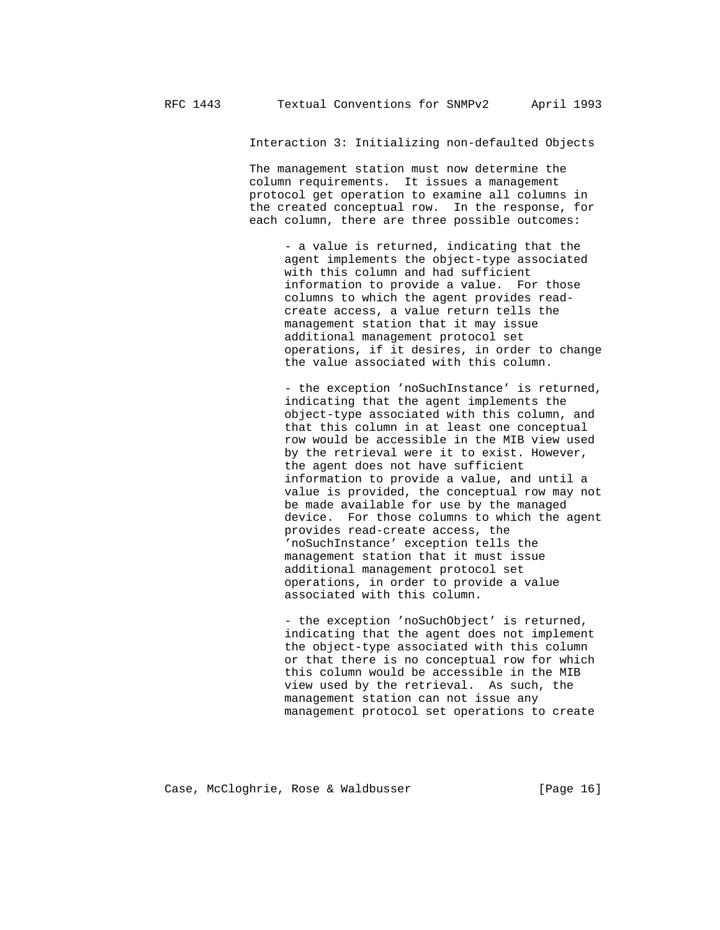Interaction 3: Initializing non-defaulted Objects

 The management station must now determine the column requirements. It issues a management protocol get operation to examine all columns in the created conceptual row. In the response, for each column, there are three possible outcomes:

> - a value is returned, indicating that the agent implements the object-type associated with this column and had sufficient information to provide a value. For those columns to which the agent provides read create access, a value return tells the management station that it may issue additional management protocol set operations, if it desires, in order to change the value associated with this column.

> - the exception 'noSuchInstance' is returned, indicating that the agent implements the object-type associated with this column, and that this column in at least one conceptual row would be accessible in the MIB view used by the retrieval were it to exist. However, the agent does not have sufficient information to provide a value, and until a value is provided, the conceptual row may not be made available for use by the managed device. For those columns to which the agent provides read-create access, the 'noSuchInstance' exception tells the management station that it must issue additional management protocol set operations, in order to provide a value associated with this column.

 - the exception 'noSuchObject' is returned, indicating that the agent does not implement the object-type associated with this column or that there is no conceptual row for which this column would be accessible in the MIB view used by the retrieval. As such, the management station can not issue any management protocol set operations to create

Case, McCloghrie, Rose & Waldbusser (Page 16)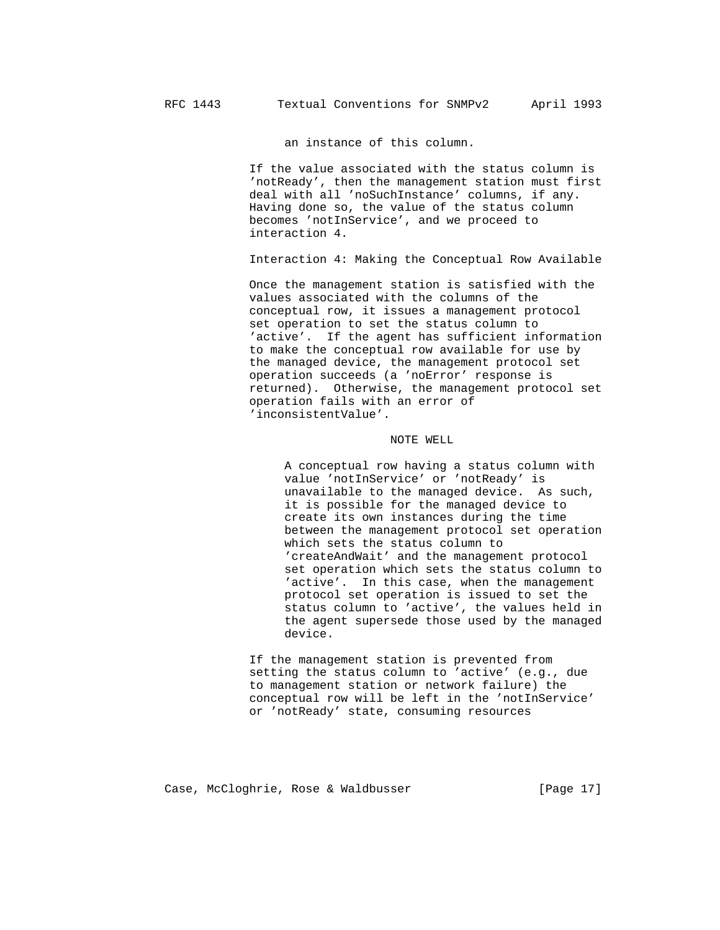an instance of this column.

 If the value associated with the status column is 'notReady', then the management station must first deal with all 'noSuchInstance' columns, if any. Having done so, the value of the status column becomes 'notInService', and we proceed to interaction 4.

Interaction 4: Making the Conceptual Row Available

 Once the management station is satisfied with the values associated with the columns of the conceptual row, it issues a management protocol set operation to set the status column to 'active'. If the agent has sufficient information to make the conceptual row available for use by the managed device, the management protocol set operation succeeds (a 'noError' response is returned). Otherwise, the management protocol set operation fails with an error of 'inconsistentValue'.

### NOTE WELL

 A conceptual row having a status column with value 'notInService' or 'notReady' is unavailable to the managed device. As such, it is possible for the managed device to create its own instances during the time between the management protocol set operation which sets the status column to 'createAndWait' and the management protocol set operation which sets the status column to 'active'. In this case, when the management protocol set operation is issued to set the status column to 'active', the values held in the agent supersede those used by the managed device.

 If the management station is prevented from setting the status column to 'active' (e.g., due to management station or network failure) the conceptual row will be left in the 'notInService' or 'notReady' state, consuming resources

Case, McCloghrie, Rose & Waldbusser (Page 17)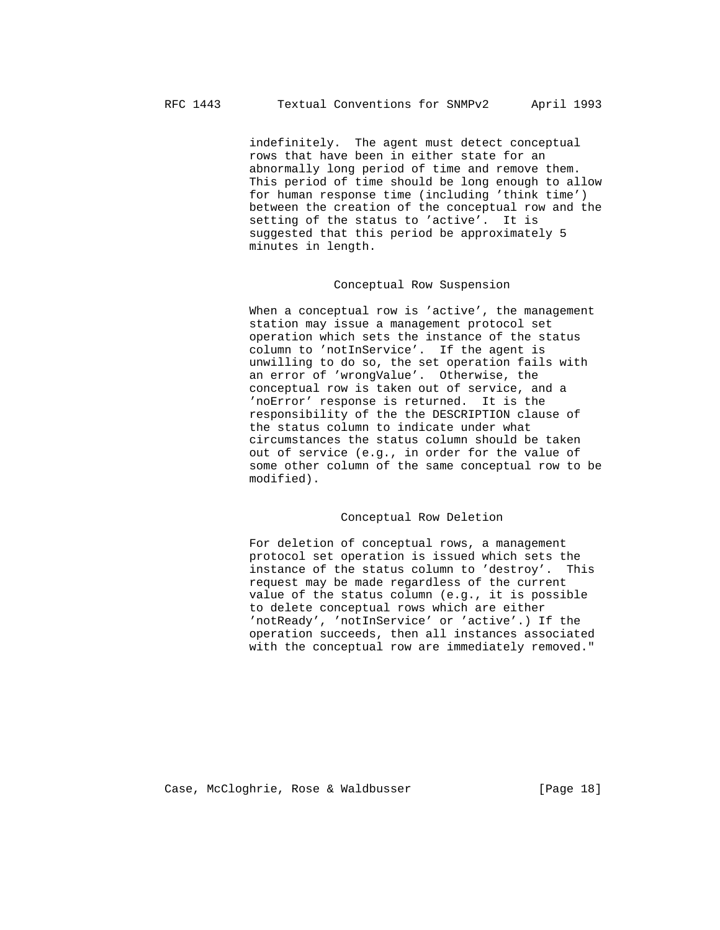indefinitely. The agent must detect conceptual rows that have been in either state for an abnormally long period of time and remove them. This period of time should be long enough to allow for human response time (including 'think time') between the creation of the conceptual row and the setting of the status to 'active'. It is suggested that this period be approximately 5 minutes in length.

## Conceptual Row Suspension

When a conceptual row is 'active', the management station may issue a management protocol set operation which sets the instance of the status column to 'notInService'. If the agent is unwilling to do so, the set operation fails with an error of 'wrongValue'. Otherwise, the conceptual row is taken out of service, and a 'noError' response is returned. It is the responsibility of the the DESCRIPTION clause of the status column to indicate under what circumstances the status column should be taken out of service (e.g., in order for the value of some other column of the same conceptual row to be modified).

### Conceptual Row Deletion

 For deletion of conceptual rows, a management protocol set operation is issued which sets the instance of the status column to 'destroy'. This request may be made regardless of the current value of the status column (e.g., it is possible to delete conceptual rows which are either 'notReady', 'notInService' or 'active'.) If the operation succeeds, then all instances associated with the conceptual row are immediately removed."

Case, McCloghrie, Rose & Waldbusser (Page 18)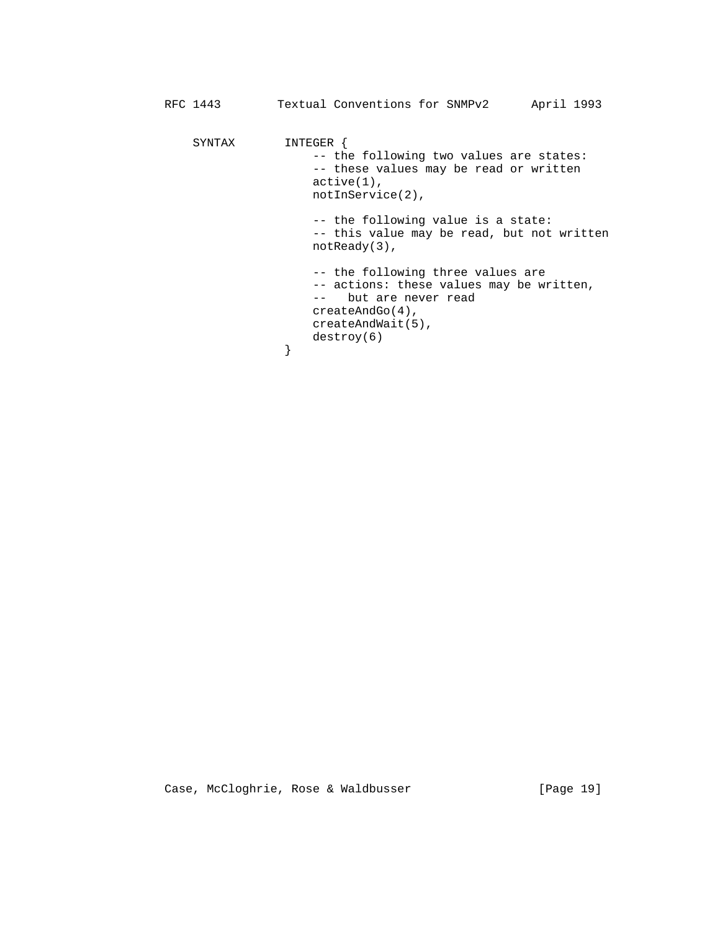```
 RFC 1443 Textual Conventions for SNMPv2 April 1993
            SYNTAX INTEGER {
                            -- the following two values are states:
                            -- these values may be read or written
                            active(1),
                            notInService(2),
                            -- the following value is a state:
                            -- this value may be read, but not written
                            notReady(3),
                            -- the following three values are
                            -- actions: these values may be written,
                            -- but are never read
                            createAndGo(4),
                            createAndWait(5),
                        destroy(6)<br>}
}
```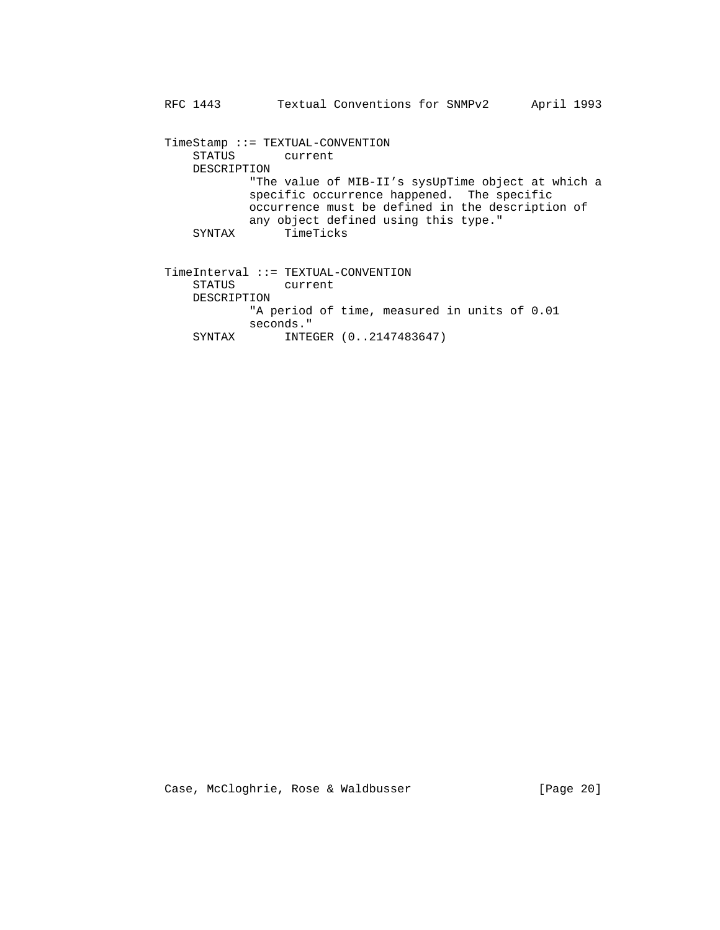RFC 1443 Textual Conventions for SNMPv2 April 1993 TimeStamp ::= TEXTUAL-CONVENTION STATUS current DESCRIPTION "The value of MIB-II's sysUpTime object at which a specific occurrence happened. The specific occurrence must be defined in the description of any object defined using this type." SYNTAX TimeTicks TimeInterval ::= TEXTUAL-CONVENTION STATUS current DESCRIPTION "A period of time, measured in units of 0.01 seconds." SYNTAX INTEGER (0..2147483647)

Case, McCloghrie, Rose & Waldbusser [Page 20]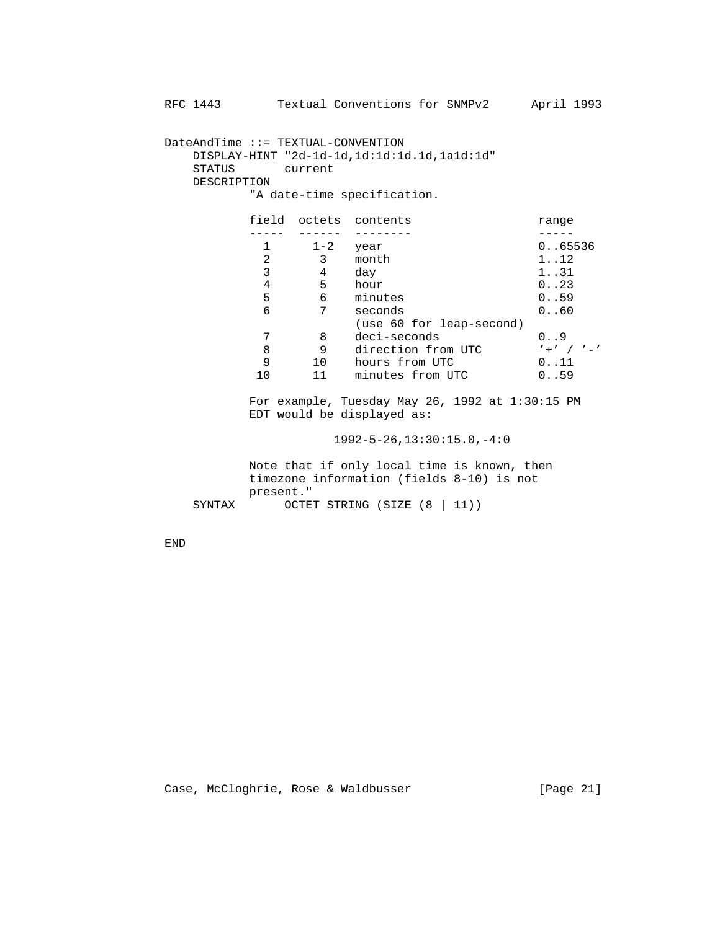DateAndTime ::= TEXTUAL-CONVENTION DISPLAY-HINT "2d-1d-1d,1d:1d:1d.1d,1a1d:1d" current DESCRIPTION "A date-time specification.

| field | octets  | contents                 | range                              |
|-------|---------|--------------------------|------------------------------------|
|       |         |                          |                                    |
|       | $1 - 2$ | year                     | 0.065536                           |
| 2     | 3       | month                    | 1.12                               |
| 3     | 4       | day                      | 1. .31                             |
| 4     | 5       | hour                     | 0.023                              |
| 5     | 6       | minutes                  | 0.059                              |
| 6     | 7       | seconds                  | 0.060                              |
|       |         | (use 60 for leap-second) |                                    |
| 7     | 8       | deci-seconds             | 0.09                               |
| 8     | 9       | direction from UTC       | $^{\prime}$ $ ^{\prime}$<br>$' +'$ |
| 9     | 10      | hours from UTC           | 0.11                               |
| 10    | 11      | minutes from UTC         | 0.059                              |
|       |         |                          |                                    |

 For example, Tuesday May 26, 1992 at 1:30:15 PM EDT would be displayed as:

1992-5-26,13:30:15.0,-4:0

 Note that if only local time is known, then timezone information (fields 8-10) is not present."<br>SYNTAX OCTET OCTET STRING (SIZE (8 | 11))

END

Case, McCloghrie, Rose & Waldbusser [Page 21]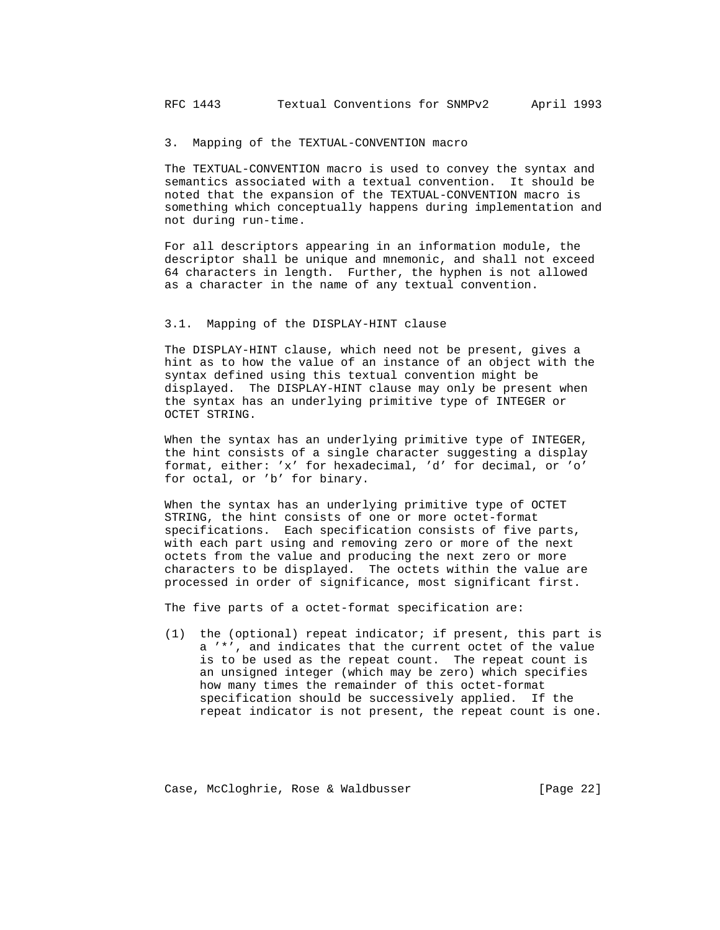### 3. Mapping of the TEXTUAL-CONVENTION macro

 The TEXTUAL-CONVENTION macro is used to convey the syntax and semantics associated with a textual convention. It should be noted that the expansion of the TEXTUAL-CONVENTION macro is something which conceptually happens during implementation and not during run-time.

 For all descriptors appearing in an information module, the descriptor shall be unique and mnemonic, and shall not exceed 64 characters in length. Further, the hyphen is not allowed as a character in the name of any textual convention.

# 3.1. Mapping of the DISPLAY-HINT clause

 The DISPLAY-HINT clause, which need not be present, gives a hint as to how the value of an instance of an object with the syntax defined using this textual convention might be displayed. The DISPLAY-HINT clause may only be present when the syntax has an underlying primitive type of INTEGER or OCTET STRING.

 When the syntax has an underlying primitive type of INTEGER, the hint consists of a single character suggesting a display format, either: 'x' for hexadecimal, 'd' for decimal, or 'o' for octal, or 'b' for binary.

 When the syntax has an underlying primitive type of OCTET STRING, the hint consists of one or more octet-format specifications. Each specification consists of five parts, with each part using and removing zero or more of the next octets from the value and producing the next zero or more characters to be displayed. The octets within the value are processed in order of significance, most significant first.

The five parts of a octet-format specification are:

 (1) the (optional) repeat indicator; if present, this part is a '\*', and indicates that the current octet of the value is to be used as the repeat count. The repeat count is an unsigned integer (which may be zero) which specifies how many times the remainder of this octet-format specification should be successively applied. If the repeat indicator is not present, the repeat count is one.

Case, McCloghrie, Rose & Waldbusser [Page 22]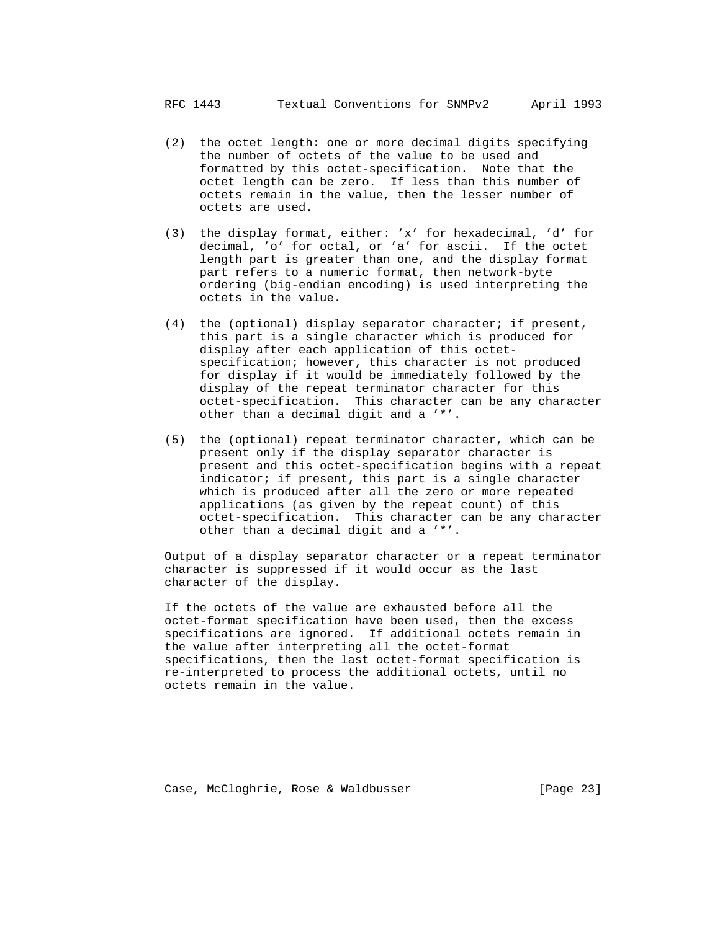- (2) the octet length: one or more decimal digits specifying the number of octets of the value to be used and formatted by this octet-specification. Note that the octet length can be zero. If less than this number of octets remain in the value, then the lesser number of octets are used.
- (3) the display format, either: 'x' for hexadecimal, 'd' for decimal, 'o' for octal, or 'a' for ascii. If the octet length part is greater than one, and the display format part refers to a numeric format, then network-byte ordering (big-endian encoding) is used interpreting the octets in the value.
- (4) the (optional) display separator character; if present, this part is a single character which is produced for display after each application of this octet specification; however, this character is not produced for display if it would be immediately followed by the display of the repeat terminator character for this octet-specification. This character can be any character other than a decimal digit and a '\*'.
- (5) the (optional) repeat terminator character, which can be present only if the display separator character is present and this octet-specification begins with a repeat indicator; if present, this part is a single character which is produced after all the zero or more repeated applications (as given by the repeat count) of this octet-specification. This character can be any character other than a decimal digit and a '\*'.

 Output of a display separator character or a repeat terminator character is suppressed if it would occur as the last character of the display.

 If the octets of the value are exhausted before all the octet-format specification have been used, then the excess specifications are ignored. If additional octets remain in the value after interpreting all the octet-format specifications, then the last octet-format specification is re-interpreted to process the additional octets, until no octets remain in the value.

Case, McCloghrie, Rose & Waldbusser [Page 23]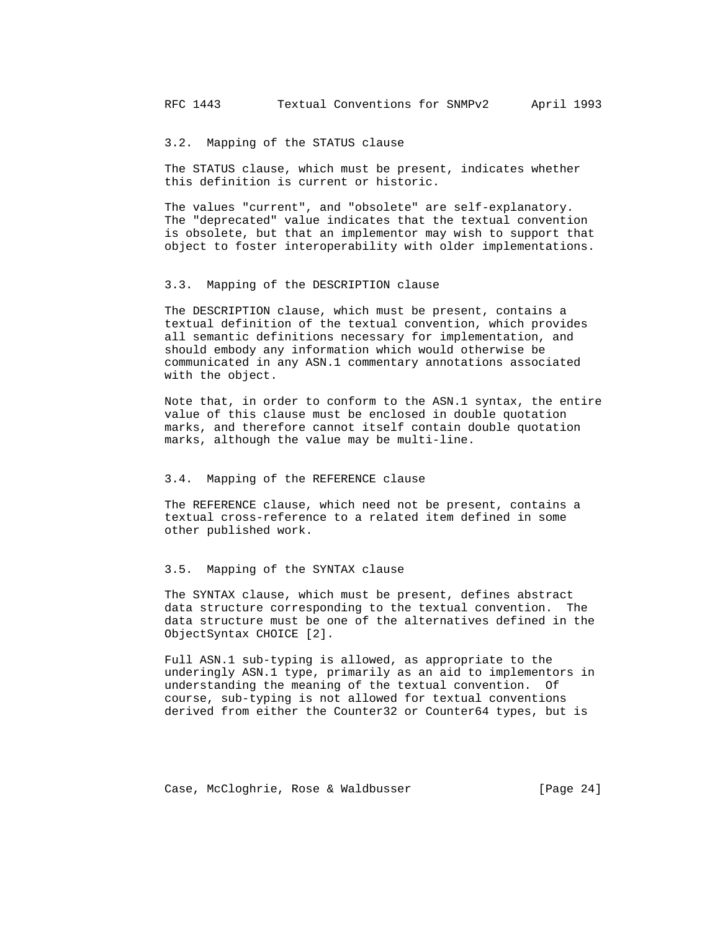3.2. Mapping of the STATUS clause

 The STATUS clause, which must be present, indicates whether this definition is current or historic.

 The values "current", and "obsolete" are self-explanatory. The "deprecated" value indicates that the textual convention is obsolete, but that an implementor may wish to support that object to foster interoperability with older implementations.

# 3.3. Mapping of the DESCRIPTION clause

 The DESCRIPTION clause, which must be present, contains a textual definition of the textual convention, which provides all semantic definitions necessary for implementation, and should embody any information which would otherwise be communicated in any ASN.1 commentary annotations associated with the object.

 Note that, in order to conform to the ASN.1 syntax, the entire value of this clause must be enclosed in double quotation marks, and therefore cannot itself contain double quotation marks, although the value may be multi-line.

# 3.4. Mapping of the REFERENCE clause

 The REFERENCE clause, which need not be present, contains a textual cross-reference to a related item defined in some other published work.

#### 3.5. Mapping of the SYNTAX clause

 The SYNTAX clause, which must be present, defines abstract data structure corresponding to the textual convention. The data structure must be one of the alternatives defined in the ObjectSyntax CHOICE [2].

 Full ASN.1 sub-typing is allowed, as appropriate to the underingly ASN.1 type, primarily as an aid to implementors in understanding the meaning of the textual convention. Of course, sub-typing is not allowed for textual conventions derived from either the Counter32 or Counter64 types, but is

Case, McCloghrie, Rose & Waldbusser [Page 24]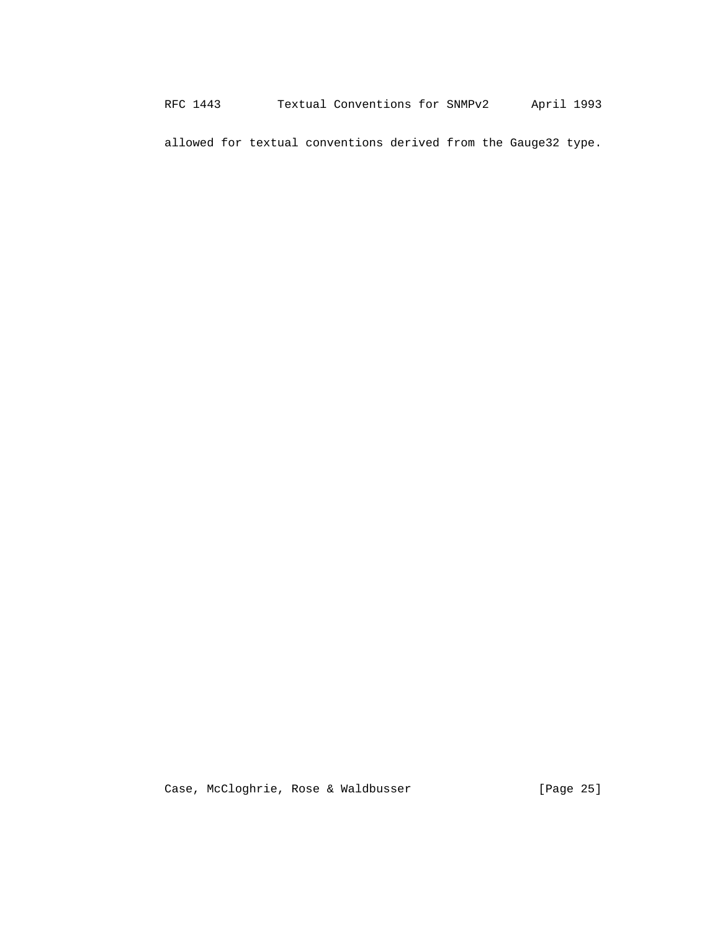RFC 1443 Textual Conventions for SNMPv2 April 1993

allowed for textual conventions derived from the Gauge32 type.

Case, McCloghrie, Rose & Waldbusser (Page 25)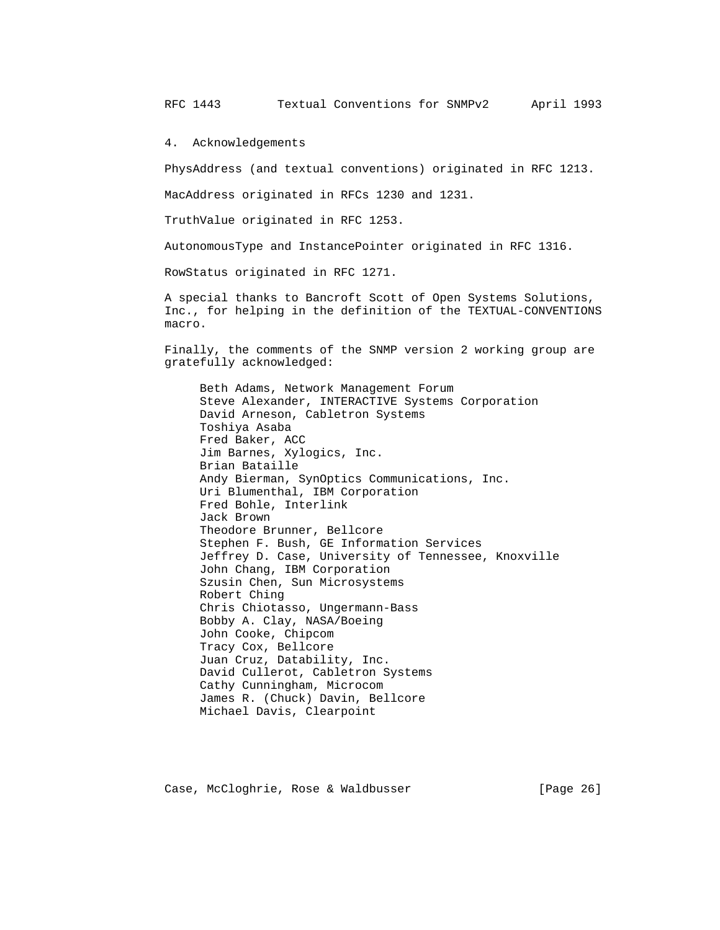RFC 1443 Textual Conventions for SNMPv2 April 1993

4. Acknowledgements

PhysAddress (and textual conventions) originated in RFC 1213.

MacAddress originated in RFCs 1230 and 1231.

TruthValue originated in RFC 1253.

AutonomousType and InstancePointer originated in RFC 1316.

RowStatus originated in RFC 1271.

 A special thanks to Bancroft Scott of Open Systems Solutions, Inc., for helping in the definition of the TEXTUAL-CONVENTIONS macro.

 Finally, the comments of the SNMP version 2 working group are gratefully acknowledged:

 Beth Adams, Network Management Forum Steve Alexander, INTERACTIVE Systems Corporation David Arneson, Cabletron Systems Toshiya Asaba Fred Baker, ACC Jim Barnes, Xylogics, Inc. Brian Bataille Andy Bierman, SynOptics Communications, Inc. Uri Blumenthal, IBM Corporation Fred Bohle, Interlink Jack Brown Theodore Brunner, Bellcore Stephen F. Bush, GE Information Services Jeffrey D. Case, University of Tennessee, Knoxville John Chang, IBM Corporation Szusin Chen, Sun Microsystems Robert Ching Chris Chiotasso, Ungermann-Bass Bobby A. Clay, NASA/Boeing John Cooke, Chipcom Tracy Cox, Bellcore Juan Cruz, Datability, Inc. David Cullerot, Cabletron Systems Cathy Cunningham, Microcom James R. (Chuck) Davin, Bellcore Michael Davis, Clearpoint

Case, McCloghrie, Rose & Waldbusser (Page 26)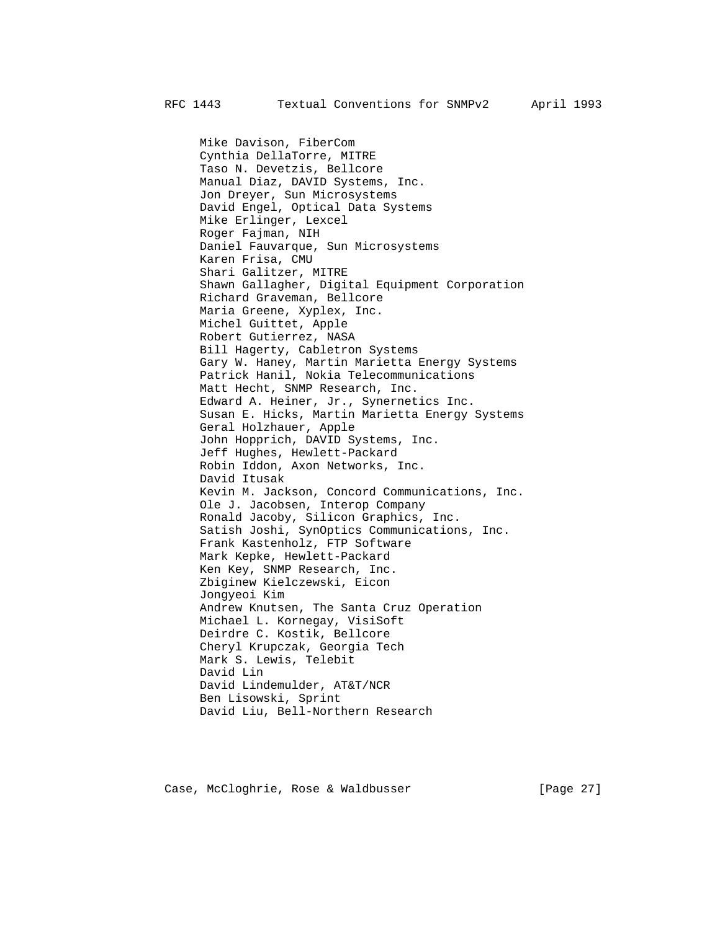Mike Davison, FiberCom Cynthia DellaTorre, MITRE Taso N. Devetzis, Bellcore Manual Diaz, DAVID Systems, Inc. Jon Dreyer, Sun Microsystems David Engel, Optical Data Systems Mike Erlinger, Lexcel Roger Fajman, NIH Daniel Fauvarque, Sun Microsystems Karen Frisa, CMU Shari Galitzer, MITRE Shawn Gallagher, Digital Equipment Corporation Richard Graveman, Bellcore Maria Greene, Xyplex, Inc. Michel Guittet, Apple Robert Gutierrez, NASA Bill Hagerty, Cabletron Systems Gary W. Haney, Martin Marietta Energy Systems Patrick Hanil, Nokia Telecommunications Matt Hecht, SNMP Research, Inc. Edward A. Heiner, Jr., Synernetics Inc. Susan E. Hicks, Martin Marietta Energy Systems Geral Holzhauer, Apple John Hopprich, DAVID Systems, Inc. Jeff Hughes, Hewlett-Packard Robin Iddon, Axon Networks, Inc. David Itusak Kevin M. Jackson, Concord Communications, Inc. Ole J. Jacobsen, Interop Company Ronald Jacoby, Silicon Graphics, Inc. Satish Joshi, SynOptics Communications, Inc. Frank Kastenholz, FTP Software Mark Kepke, Hewlett-Packard Ken Key, SNMP Research, Inc. Zbiginew Kielczewski, Eicon Jongyeoi Kim Andrew Knutsen, The Santa Cruz Operation Michael L. Kornegay, VisiSoft Deirdre C. Kostik, Bellcore Cheryl Krupczak, Georgia Tech Mark S. Lewis, Telebit David Lin David Lindemulder, AT&T/NCR Ben Lisowski, Sprint David Liu, Bell-Northern Research

Case, McCloghrie, Rose & Waldbusser [Page 27]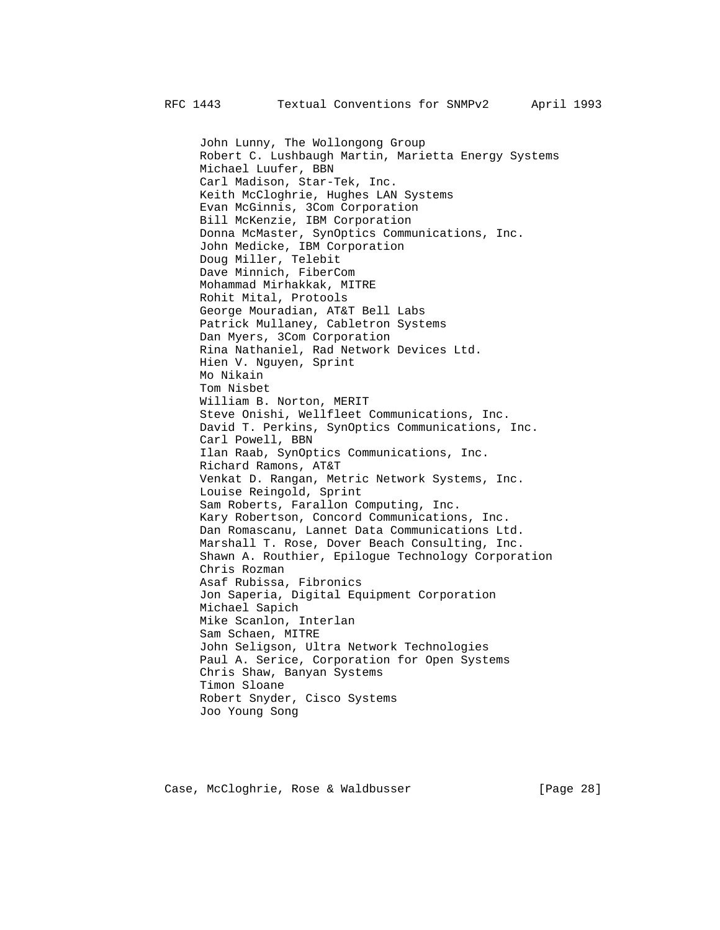John Lunny, The Wollongong Group Robert C. Lushbaugh Martin, Marietta Energy Systems Michael Luufer, BBN Carl Madison, Star-Tek, Inc. Keith McCloghrie, Hughes LAN Systems Evan McGinnis, 3Com Corporation Bill McKenzie, IBM Corporation Donna McMaster, SynOptics Communications, Inc. John Medicke, IBM Corporation Doug Miller, Telebit Dave Minnich, FiberCom Mohammad Mirhakkak, MITRE Rohit Mital, Protools George Mouradian, AT&T Bell Labs Patrick Mullaney, Cabletron Systems Dan Myers, 3Com Corporation Rina Nathaniel, Rad Network Devices Ltd. Hien V. Nguyen, Sprint Mo Nikain Tom Nisbet William B. Norton, MERIT Steve Onishi, Wellfleet Communications, Inc. David T. Perkins, SynOptics Communications, Inc. Carl Powell, BBN Ilan Raab, SynOptics Communications, Inc. Richard Ramons, AT&T Venkat D. Rangan, Metric Network Systems, Inc. Louise Reingold, Sprint Sam Roberts, Farallon Computing, Inc. Kary Robertson, Concord Communications, Inc. Dan Romascanu, Lannet Data Communications Ltd. Marshall T. Rose, Dover Beach Consulting, Inc. Shawn A. Routhier, Epilogue Technology Corporation Chris Rozman Asaf Rubissa, Fibronics Jon Saperia, Digital Equipment Corporation Michael Sapich Mike Scanlon, Interlan Sam Schaen, MITRE John Seligson, Ultra Network Technologies Paul A. Serice, Corporation for Open Systems Chris Shaw, Banyan Systems Timon Sloane Robert Snyder, Cisco Systems Joo Young Song

Case, McCloghrie, Rose & Waldbusser [Page 28]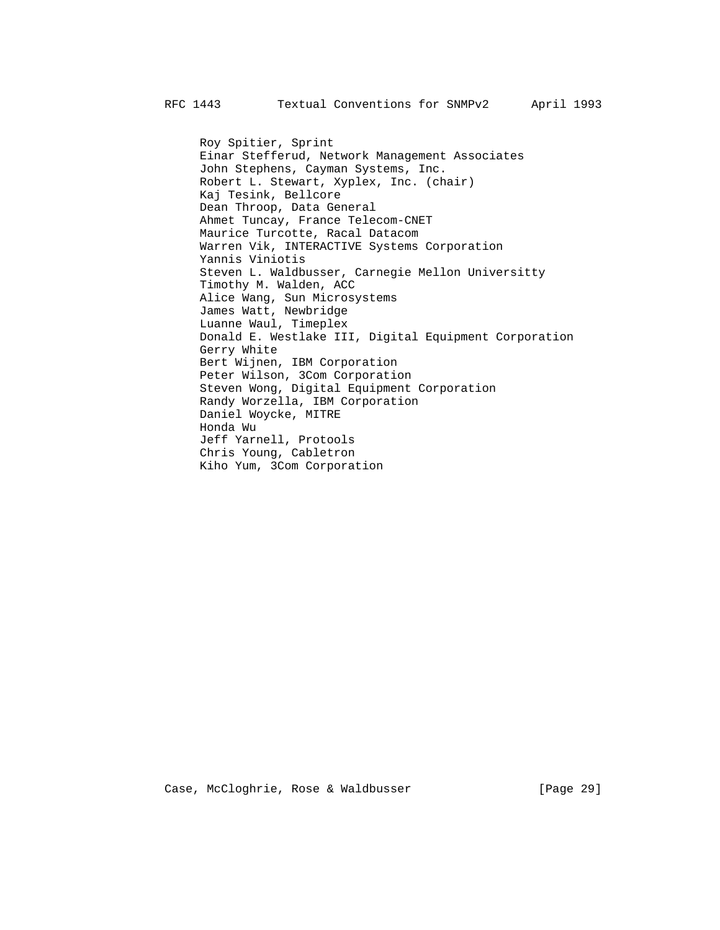Roy Spitier, Sprint Einar Stefferud, Network Management Associates John Stephens, Cayman Systems, Inc. Robert L. Stewart, Xyplex, Inc. (chair) Kaj Tesink, Bellcore Dean Throop, Data General Ahmet Tuncay, France Telecom-CNET Maurice Turcotte, Racal Datacom Warren Vik, INTERACTIVE Systems Corporation Yannis Viniotis Steven L. Waldbusser, Carnegie Mellon Universitty Timothy M. Walden, ACC Alice Wang, Sun Microsystems James Watt, Newbridge Luanne Waul, Timeplex Donald E. Westlake III, Digital Equipment Corporation Gerry White Bert Wijnen, IBM Corporation Peter Wilson, 3Com Corporation Steven Wong, Digital Equipment Corporation Randy Worzella, IBM Corporation Daniel Woycke, MITRE Honda Wu Jeff Yarnell, Protools Chris Young, Cabletron Kiho Yum, 3Com Corporation

Case, McCloghrie, Rose & Waldbusser (Page 29)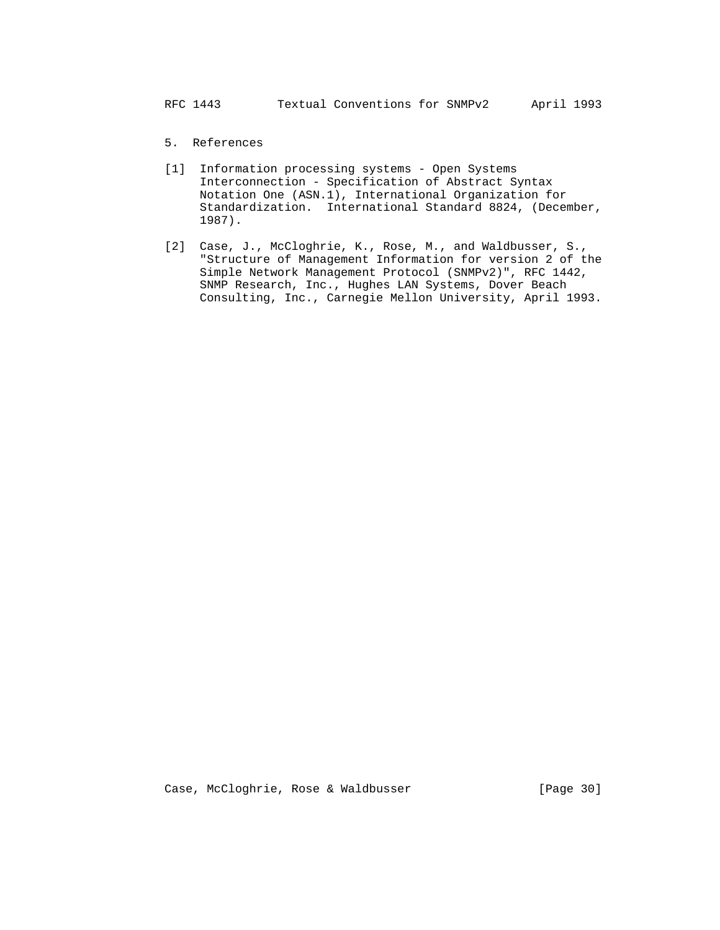- 5. References
- [1] Information processing systems Open Systems Interconnection - Specification of Abstract Syntax Notation One (ASN.1), International Organization for Standardization. International Standard 8824, (December, 1987).
- [2] Case, J., McCloghrie, K., Rose, M., and Waldbusser, S., "Structure of Management Information for version 2 of the Simple Network Management Protocol (SNMPv2)", RFC 1442, SNMP Research, Inc., Hughes LAN Systems, Dover Beach Consulting, Inc., Carnegie Mellon University, April 1993.

Case, McCloghrie, Rose & Waldbusser [Page 30]